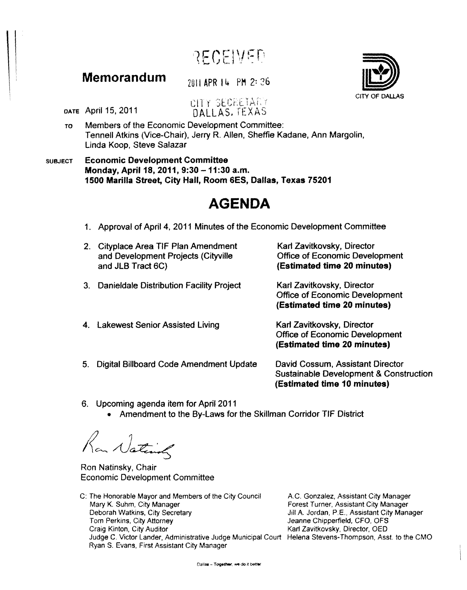RECEIVED

## **Memorandum**

2011 APR 14 PM 2: 26

CITY SECRETARY DALLAS. TEXAS

DATE April 15, 2011

- To Members of the Economic Development Committee: Tennell Atkins (Vice-Chair), Jerry R. Allen, Sheffie Kadane, Ann Margolin, Linda Koop, Steve Salazar
- SUBJECT Economic Development Committee Monday, April 18, 2011, 9:30 - 11:30 a.m. 1500 Marilla Street, City Hall, Room 6ES, Dallas, Texas 75201

## **AGENDA**

- 1. Approval of April 4, 2011 Minutes of the Economic Development Committee
- 2. Cityp/ace Area TIF Plan Amendment and Development Projects (Cityville and JLB Tract 6C)
- 3. Danieldale Distribution Facility Project

Karl Zavitkovsky, Director Office of Economic Development (Estimated time 20 minutes)

Karl Zavitkovsky, Director Office of Economic Development (Estimated time 20 minutes)

- 4. Lakewest Senior Assisted Living Karl Zavitkovsky, Director Office of Economic Development (Estimated time 20 minutes)
- 5. Digital Billboard Code Amendment Update

David Cossum, Assistant Director Sustainable Development & Construction (Estimated time 10 minutes)

- 6. Upcoming agenda item for April 2011
	- Amendment to the By-Laws for the Skillman Corridor TIF District

Ran National

Ron Natinsky, Chair Economic Development Committee

C: The Honorable Mayor and Members of the City Council Mary K. Suhm, City Manager Deborah Watkins. City Secretary Tom Perkins, City Attorney Craig Kinton. City Auditor Judge C. Victor Lander, Administrative Judge Municipal Court Helena Stevens-Thompson, Asst. to the CMO Ryan S. Evans, First Assistant City Manager

AC. Gonzalez, Assistant City Manager Forest Turner, Assistant City Manager Jill A. Jordan, P.E., Assistant City Manager Jeanne Chipperfield, CFO, OFS Karl Zavitkovsky, Director, OED